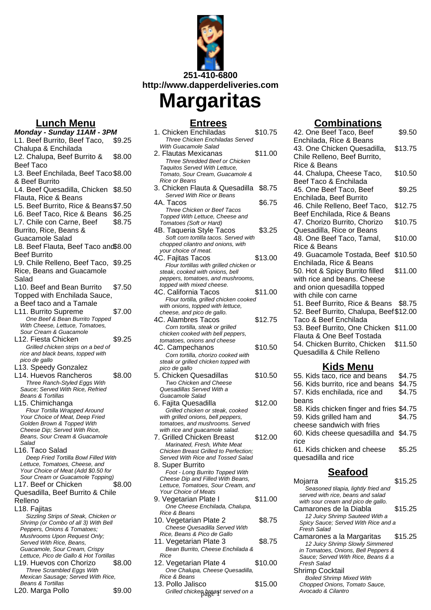

# **Margaritas**

## **Entrees**

|    | Entrees                                                              |         |
|----|----------------------------------------------------------------------|---------|
|    | 1. Chicken Enchiladas                                                | \$10.75 |
| :5 | Three Chicken Enchiladas Served                                      |         |
|    | With Guacamole Salad<br>2. Flautas Mexicanas                         |         |
| Ю  | Three Shredded Beef or Chicken                                       | \$11.00 |
|    | Taquitos Served With Lettuce,                                        |         |
| Ю  | Tomato, Sour Cream, Guacamole &                                      |         |
|    | <b>Rice or Beans</b>                                                 |         |
| i0 | 3. Chicken Flauta & Quesadilla                                       | \$8.75  |
|    | Served With Rice or Beans                                            |         |
| i0 | 4A. Tacos                                                            | \$6.75  |
| 15 | Three Chicken or Beef Tacos<br>Topped With Lettuce, Cheese and       |         |
| 5  | Tomatoes (Soft or Hard)                                              |         |
|    | 4B. Taqueria Style Tacos                                             | \$3.25  |
|    | Soft corn tortilla tacos. Served with                                |         |
| Ю  | chopped cilantro and onions, with                                    |         |
|    | your choice of meat.                                                 |         |
| 15 | 4C. Fajitas Tacos                                                    | \$13.00 |
|    | Flour tortillas with grilled chicken or                              |         |
|    | steak, cooked with onions, bell<br>peppers, tomatoes, and mushrooms, |         |
|    | topped with mixed cheese.                                            |         |
| i0 | 4C. California Tacos                                                 | \$11.00 |
|    | Flour tortilla, grilled chicken cooked                               |         |
|    | with onions, topped with lettuce,                                    |         |
| 10 | cheese, and pico de gallo.                                           |         |
|    | 4C. Alambres Tacos                                                   | \$12.75 |
|    | Corn tortilla, steak or grilled<br>chicken cooked with bell peppers, |         |
| :5 | tomatoes, onions and cheese                                          |         |
|    | 4C. Campechanos                                                      | \$10.50 |
|    | Corn tortilla, chorizo cooked with                                   |         |
|    | steak or grilled chicken topped with                                 |         |
|    | pico de gallo                                                        |         |
| 0  | 5. Chicken Quesadillas                                               | \$10.50 |
|    | Two Chicken and Cheese<br>Quesadillas Served With a                  |         |
|    | Guacamole Salad                                                      |         |
|    | 6. Fajita Quesadilla                                                 | \$12.00 |
|    | Grilled chicken or steak, cooked                                     |         |
|    | with grilled onions, bell peppers,                                   |         |
|    | tomatoes, and mushrooms. Served                                      |         |
|    | with rice and guacamole salad.                                       | \$12.00 |
|    | 7. Grilled Chicken Breast<br>Marinated, Fresh, White Meat            |         |
|    | Chicken Breast Grilled to Perfection:                                |         |
|    | Served With Rice and Tossed Salad                                    |         |
|    | 8. Super Burrito                                                     |         |
|    | Foot - Long Burrito Topped With                                      |         |
| 10 | Cheese Dip and Filled With Beans,                                    |         |
|    | Lettuce, Tomatoes, Sour Cream, and<br><b>Your Choice of Meats</b>    |         |
|    | 9. Vegetarian Plate I                                                | \$11.00 |
|    | One Cheese Enchilada, Chalupa,                                       |         |
|    | Rice & Beans                                                         |         |
|    | 10. Vegetarian Plate 2                                               | \$8.75  |
|    | Cheese Quesadilla Served With                                        |         |
|    | Rice, Beans & Pico de Gallo                                          |         |
|    | 11. Vegetarian Plate 3                                               | \$8.75  |
|    | Bean Burrito, Cheese Enchilada &<br>Rice                             |         |
| Ю  | 12. Vegetarian Plate 4                                               | \$10.00 |
|    | One Chalupa, Cheese Quesadilla,                                      |         |
|    | Rice & Reans                                                         |         |

#### Rice & Beans 13. Pollo Jalisco  $$15.00$

\$9.00 Grilled chicken breast served on a **comparish and a constant and a constant** Avocado & Cilantro

## **Combinations**

| 42. One Beef Taco, Beef                 | \$9.50  |
|-----------------------------------------|---------|
| Enchilada, Rice & Beans                 |         |
| 43. One Chicken Quesadilla,             | \$13.75 |
| Chile Relleno, Beef Burrito,            |         |
| Rice & Beans                            |         |
| 44. Chalupa, Cheese Taco,               | \$10.50 |
| Beef Taco & Enchilada                   |         |
| 45. One Beef Taco, Beef                 | \$9.25  |
| Enchilada, Beef Burrito                 |         |
| 46. Chile Relleno, Beef Taco,           | \$12.75 |
| Beef Enchilada, Rice & Beans            |         |
| 47. Chorizo Burrito, Chorizo            | \$10.75 |
| Quesadilla, Rice or Beans               |         |
| 48. One Beef Taco, Tamal,               | \$10.00 |
| Rice & Beans                            |         |
| 49. Guacamole Tostada, Beef \$10.50     |         |
| Enchilada, Rice & Beans                 |         |
| 50. Hot & Spicy Burrito filled          | \$11.00 |
| with rice and beans. Cheese             |         |
| and onion quesadilla topped             |         |
| with chile con carne                    |         |
| 51. Beef Burrito, Rice & Beans \$8.75   |         |
| 52. Beef Burrito, Chalupa, Beef \$12.00 |         |
| Taco & Beef Enchilada                   |         |
| 53. Beef Burrito, One Chicken \$11.00   |         |
| Flauta & One Beef Tostada               |         |
| 54. Chicken Burrito, Chicken            | \$11.50 |
| Quesadilla & Chile Relleno              |         |
|                                         |         |
| <u>Kids Menu</u>                        |         |
| 55. Kids taco, rice and beans           | \$4.75  |

55. Kids taco, rice and beans \$4.75 56. Kids burrito, rice and beans \$4.75 57. Kids enchilada, rice and beans \$4.75 58. Kids chicken finger and fries \$4.75 59. Kids grilled ham and cheese sandwich with fries \$4.75 60. Kids cheese quesadilla and \$4.75 rice 61. Kids chicken and cheese quesadilla and rice \$5.25

## **Seafood**

Mojarra **\$15.25** Seasoned tilapia, lightly fried and served with rice, beans and salad with sour cream and pico de gallo. Camarones de la Diabla \$15.25 12 Juicy Shrimp Sauteed With a Spicy Sauce; Served With Rice and a Fresh Salad Camarones a la Margaritas \$15.25 12 Juicy Shrimp Slowly Simmered in Tomatoes, Onions, Bell Peppers & Sauce; Served With Rice, Beans & a Fresh Salad Shrimp Cocktail Boiled Shrimp Mixed With Chopped Onions, Tomato Sauce,<br>Avocado & Cilantro

## **Lunch Menu**

**Monday - Sunday 11AM - 3PM** L1. Beef Burrito, Beef Taco, Chalupa & Enchilada \$9.25 L2. Chalupa, Beef Burrito & Beef Taco \$8.0 L3. Beef Enchilada, Beef Taco \$8.00 & Beef Burrito L4. Beef Quesadilla, Chicken \$8.50 Flauta, Rice & Beans L5. Beef Burrito, Rice & Beans \$7.5 L6. Beef Taco, Rice & Beans, \$6.2 L7. Chile con Carne, Beef Burrito, Rice, Beans & Guacamole Salad \$8.7 L8. Beef Flauta, Beef Taco and \$8.00 Beef Burrito L9. Chile Relleno, Beef Taco, \$9.25 Rice, Beans and Guacamole Salad L10. Beef and Bean Burrito Topped with Enchilada Sauce, a Beef taco and a Tamale \$7.50 L11. Burrito Supreme \$7.0 One Beef & Bean Burrito Topped With Cheese, Lettuce, Tomatoes, Sour Cream & Guacamole L12. Fiesta Chicken \$9.2 Grilled chicken strips on a bed of rice and black beans, topped with pico de gallo L13. Speedy Gonzalez L14. Huevos Rancheros \$8.0 Three Ranch-Styled Eggs With Sauce; Served With Rice, Refried Beans & Tortillas L15. Chimichanga Flour Tortilla Wrapped Around Your Choice of Meat, Deep Fried Golden Brown & Topped With Cheese Dip; Served With Rice, Beans, Sour Cream & Guacamole Salad L16. Taco Salad Deep Fried Tortilla Bowl Filled With Lettuce, Tomatoes, Cheese, and Your Choice of Meat (Add \$0.50 for Sour Cream or Guacamole Topping) L17. Beef or Chicken Quesadilla, Beef Burrito & Chile Relleno \$8.0 L18. Fajitas Sizzling Strips of Steak, Chicken or Shrimp (or Combo of all 3) With Bell Peppers, Onions & Tomatoes; Mushrooms Upon Request Only; Served With Rice, Beans, Guacamole, Sour Cream, Crispy Lettuce, Pico de Gallo & Hot Tortillas L19. Huevos con Chorizo \$8.0 Three Scrambled Eggs With Mexican Sausage; Served With Rice, Beans & Tortillas

|  | L20. Marga Pollo |  |
|--|------------------|--|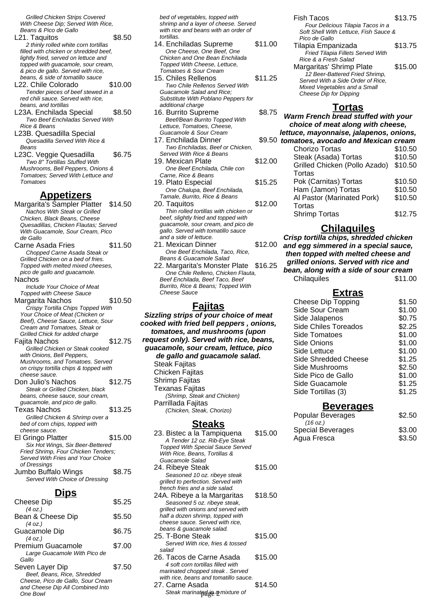Grilled Chicken Strips Covered With Cheese Dip; Served With Rice, Beans & Pico de Gallo

- L21. Taquitos \$8.50 2 thinly rolled white corn tortillas filled with chicken or shredded beef. lightly fried, served on lettuce and topped with guacamole, sour cream, & pico de gallo. Served with rice, beans, & side of tomatillo sauce
- L<sub>22</sub>. Chile Colorado \$10.00 Tender pieces of beef stewed in a red chili sauce. Served with rice. beans, and tortillas
- L23A. Enchilada Special \$8.50 Two Beef Enchiladas Served With Rice & Beans
- L23B. Quesadilla Special Quesadilla Served With Rice & Beans
- L23C. Veggie Quesadilla \$6.75 Two 8" Tortillas Stuffed With Mushrooms, Bell Peppers, Onions & Tomatoes; Served With Lettuce and Tomatoes

#### **Appetizers**

Margarita's Sampler Platter \$14.50 Nachos With Steak or Grilled Chicken, Black Beans, Cheese Quesadillas, Chicken Flautas; Served With Guacamole, Sour Cream, Pico de Gallo

- Carne Asada Fries \$11.50 Chopped Carne Asada Steak or Grilled Chicken on a bed of fries. Topped with melted mixed cheeses, pico de gallo and guacamole. Nachos Include Your Choice of Meat Topped with Cheese Sauce Margarita Nachos \$10.50 Crispy Tortilla Chips Topped With Your Choice of Meat (Chicken or Beef), Cheese Sauce, Lettuce, Sour Cream and Tomatoes, Steak or Grilled Chick for added charge Fajita Nachos \$12.75 Grilled Chicken or Steak cooked with Onions, Bell Peppers, Mushrooms, and Tomatoes. Served on crispy tortilla chips & topped with cheese sauce. Don Julio's Nachos \$12.75 Steak or Grilled Chicken, black beans, cheese sauce, sour cream, guacamole, and pico de gallo. Texas Nachos  $$13.25$ Grilled Chicken & Shrimp over a
- bed of corn chips, topped with cheese sauce. El Gringo Platter \$15.00 Six Hot Wings, Six Beer-Bettered Fried Shrimp, Four Chicken Tenders; Served With Fries and Your Choice of Dressings Jumbo Buffalo Wings \$8.75 Served With Choice of Dressing

#### **Dips**

| \$5.25                                      |
|---------------------------------------------|
| \$5.50                                      |
|                                             |
| \$6.75                                      |
| \$7.00                                      |
| \$7.50<br>Cheese. Pico de Gallo. Sour Cream |
|                                             |
|                                             |

bed of vegetables, topped with shrimp and a layer of cheese. Served with rice and beans with an order of tortillas.

- 14. Enchiladas Supreme \$11.00 One Cheese, One Beef, One Chicken and One Bean Enchilada Topped With Cheese, Lettuce, Tomatoes & Sour Cream 15. Chiles Rellenos \$11.25 Two Chile Rellenos Served With Guacamole Salad and Rice; Substitute With Poblano Peppers for additional charge 16. Burrito Supreme \$8.75
- Beef/Bean Burrito Topped With Lettuce, Tomatoes, Cheese, Guacamole & Sour Cream 17. Enchilada Dinner
- Two Enchiladas, Beef or Chicken, Served With Rice & Beans 19. Mexican Plate \$12.00
- One Beef Enchilada, Chile con Carne, Rice & Beans 19. Plato Especial  $$15.25$
- One Chalupa, Beef Enchilada, Tamale, Burrito, Rice & Beans 20. Taquitos \$12.00
- Thin rolled tortillas with chicken or beef, slightly fried and topped with guacamole, sour cream, and pico de gallo. Served with tomatillo sauce and a side of lettuce.
- 21. Mexican Dinner \$12.00 One Beef Enchilada, Taco, Rice, Beans & Guacamole Salad
- 22. Margarita's Monster Plate \$16.25 One Chile Relleno, Chicken Flauta, Beef Enchilada, Beef Taco, Beef Burrito, Rice & Beans; Topped With Cheese Sauce

#### **Fajitas**

**Sizzling strips of your choice of meat cooked with fried bell peppers , onions, tomatoes, and mushrooms (upon request only). Served with rice, beans, guacamole, sour cream, lettuce, pico de gallo and guacamole salad.** Steak Faiitas Chicken Fajitas Shrimp Fajitas Texanas Fajitas (Shrimp, Steak and Chicken) Parrillada Fajitas (Chicken, Steak, Chorizo)

#### **Steaks**

| 23. Bistec a la Tampiquena<br>A Tender 12 oz. Rib-Eye Steak<br><b>Topped With Special Sauce Served</b><br>With Rice, Beans, Tortillas &<br>Guacamole Salad             | \$15.00 |
|------------------------------------------------------------------------------------------------------------------------------------------------------------------------|---------|
| 24. Ribeye Steak                                                                                                                                                       | \$15.00 |
| Seasoned 10 oz. ribeye steak<br>grilled to perfection. Served with<br>french fries and a side salad.                                                                   |         |
| 24A. Ribeye a la Margaritas                                                                                                                                            | \$18.50 |
| Seasoned 5 oz. ribeye steak,<br>grilled with onions and served with<br>half a dozen shrimp, topped with<br>cheese sauce. Served with rice,<br>beans & guacamole salad. |         |
| 25. T-Bone Steak                                                                                                                                                       | \$15.00 |
| Served With rice, fries & tossed<br>salad                                                                                                                              |         |
| 26. Tacos de Carne Asada                                                                                                                                               | \$15.00 |
| 4 soft corn tortillas filled with<br>marinated chopped steak. Served<br>with rice, beans and tomatillo sauce.                                                          |         |
| 27. Carne Asada                                                                                                                                                        | \$14.50 |
| Steak marinatedde 2 mixture of                                                                                                                                         |         |

| <b>Fish Tacos</b>                     | \$13.75 |
|---------------------------------------|---------|
| Four Delicious Tilapia Tacos in a     |         |
| Soft Shell With Lettuce, Fish Sauce & |         |
| Pico de Gallo                         |         |
| Tilapia Empanizada                    | \$13.75 |
| Fried Tilapia Fillets Served With     |         |
| Rice & a Fresh Salad                  |         |
| Margaritas' Shrimp Plate              | \$15.00 |
| 12 Beer-Battered Fried Shrimp,        |         |

#### **Tortas**

Served With a Side Order of Rice, Mixed Vegetables and a Small Cheese Dip for Dipping

**Warm French bread stuffed with your choice of meat along with cheese, lettuce, mayonnaise, jalapenos, onions,** \$9.50 tomatoes, avocado and Mexican cream Chorizo Tortas \$10.50 Steak (Asada) Tortas \$10.50 Grilled Chicken (Pollo Azado) **Tortas** \$10.50 Pok (Carnitas) Tortas \$10.50 Ham (Jamon) Tortas \$10.50 Al Pastor (Marinated Pork) **Tortas** \$10.50 Shrimp Tortas \$12.75

#### **Chilaquiles**

**Crisp tortilla chips, shredded chicken and egg simmered in a special sauce, then topped with melted cheese and grilled onions. Served with rice and bean, along with a side of sour cream**

Chilaquiles \$11.00

#### **Extras**

| <b>Cheese Dip Topping</b>   | \$1.50 |
|-----------------------------|--------|
| Side Sour Cream             | \$1.00 |
| Side Jalapenos              | \$0.75 |
| <b>Side Chiles Toreados</b> | \$2.25 |
| Side Tomatoes               | \$1.00 |
| Side Onions                 | \$1.00 |
| Side Lettuce                | \$1.00 |
| Side Shredded Cheese        | \$1.25 |
| Side Mushrooms              | \$2.50 |
| Side Pico de Gallo          | \$1.00 |
| Side Guacamole              | \$1.25 |
| Side Tortillas (3)          | \$1.25 |
|                             |        |

#### **Beverages**

| <b>Popular Beverages</b> | \$2.50 |
|--------------------------|--------|
| $(16 \text{ oz.})$       |        |
| <b>Special Beverages</b> | \$3.00 |
| Agua Fresca              | \$3.50 |